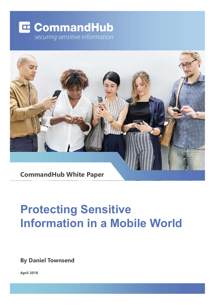# **E** CommandHub securing sensitive information



# Protecting Sensitive Information in a Mobile World

By Daniel Townsend

April 2018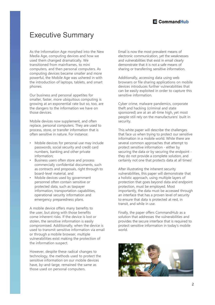# Executive Summary

As the Information Age morphed into the New Media Age, computing devices and how we used them changed dramatically. We transitioned from mainframes, to mini computers, and then personal computers. As computing devices became smaller and more powerful, the Mobile Age was ushered in with the introduction of laptops, tablets, and smart phones.

Our business and personal appetites for smaller, faster, more ubiquitous computing is growing at an exponential rate but so, too, are the dangers to the information we have on those devices.

Mobile devices now supplement, and often replace, personal computers. They are used to process, store, or transfer information that is often sensitive in nature. For instance:

- Mobile devices for personal use may include passwords, social security and credit card numbers, banking and other private information;
- Business users often store and process commercially confidential documents, such as contracts and proposals, right through to board-level material, and
- Mobile devices used by government personnel often contain sensitive or protected data, such as taxpayer information, transportation capabilities, operational security information and emergency preparedness plans.

A mobile device offers many benefits to the user, but along with those benefits come inherent risks. If the device is lost or stolen, the sensitive information is easily compromised. Additionally, when the device is used to transmit sensitive information via email or through a mobile browser, multiple vulnerabilities exist making the protection of the information suspect.

However, despite these radical changes to technology, the methods used to protect the sensitive information on our mobile devices have, by-and-large, remained the same as those used on personal computers.

Email is now the most prevalent means of electronic communication, yet the weaknesses and vulnerabilities that exist in email clearly demonstrate that it is not a safe means of sharing or transferring sensitive information.

Additionally, accessing data using web browsers or file sharing applications on mobile devices introduces further vulnerabilities that can be easily exploited in order to capture this sensitive information.

Cyber crime, malware pandemics, corporate theft and hacking (criminal and state sponsored) are at an all-time high, yet most people still rely on the manufacturers' built in security.

This white paper will describe the challenges that face us when trying to protect our sensitive information in a mobile world. While there are several common approaches that attempt to Enlari si now the most protation method electronic communication, yet the weaknesses<br>and vulnerabilities that exist in email clearly<br>demonstrate that it is not a safe means of<br>sharing or transferring sensitive information. securing the data or by securing the endpoint they do not provide a complete solution, and certainly not one that protects data at all times!

After illustrating the inherent security vulnerabilities, this paper will demonstrate that a holistic approach, using multiple layers of protection that goes beyond data and endpoint protection, must be employed. Most importantly, the data must be accessed through an interface that has a proven level of security to ensure that data is protected at rest, in transit, and while in use.

Finally, the paper offers CommandHub as a solution that addresses the vulnerabilities and provides the secure interface that is required to protect sensitive information in today's mobile world.

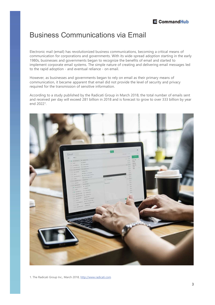# Business Communications via Email

Electronic mail (email) has revolutionized business communications, becoming a critical means of communication for corporations and governments. With its wide-spread adoption starting in the early 1980s, businesses and governments began to recognize the benefits of email and started to implement corporate email systems. The simple nature of creating and delivering email messages led **Example 18 Command Plub**<br> **Example 18 Communications Scientify and Email**<br>
Electronic mail (email) has revolutionized business communications, becoming a critical means of<br>
communication for corporations and governments. **Example 19 State Communications State Command Pluble State Communications**<br>Electronic mail (email) has revolutionized business communications, becoming a critical means of<br>communication for corporations and governments. W

However, as businesses and governments began to rely on email as their primary means of communication, it became apparent that email did not provide the level of security and privacy required for the transmission of sensitive information.

and received per day will exceed 281 billion in 2018 and is forecast to grow to over 333 billion by year end 20221 .

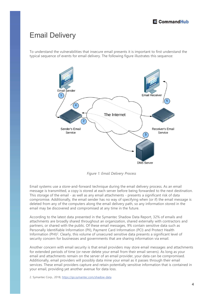# Email Delivery

To understand the vulnerabilities that insecure email presents it is important to first understand the typical sequence of events for email delivery. The following figure illustrates this sequence:



Figure 1: Email Delivery Process

Email systems use a store-and-forward technique during the email delivery process. As an email message is transmitted, a copy is stored at each server before being forwarded to the next destination. compromise. Additionally, the email sender has no way of specifying when (or if) the email message is deleted from any of the computers along the email delivery path, so any information stored in the email may be discovered and compromised at any time in the future.

According to the latest data presented in the Symantec Shadow Data Report, 32% of emails and attachments are broadly shared throughout an organization, shared externally with contractors and partners, or shared with the public. Of these email messages, 9% contain sensitive data such as Personally Identifiable Information (PII), Payment Card Information (PCI) and Protect Health Information (PHI)<sup>2</sup>. Clearly, this volume of unsecured sensitive data presents a significant level of security concern for businesses and governments that are sharing information via email.

Another concern with email security is that email providers may store email messages and attachments for extended periods of time (or never delete your email from their email servers). As long as your email and attachments remain on the server of an email provider, your data can be compromised. Additionally, email providers will possibly data mine your email as it passes through their email services. These email providers capture and retain potentially sensitive information that is contained in your email, providing yet another avenue for data loss.

2. Symantec Corp., 2018, https://go.symantec.com/shadow-data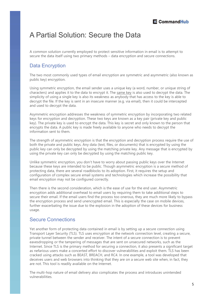# A Partial Solution: Secure the Data

A common solution currently employed to protect sensitive information in email is to attempt to **Secure the Data**<br>Secure the data itself using two primary methods – data encryption and secure connections.<br>Data Encryption<br>The two most commonly used types of email encryption are symmetric and asymmetric (also known as<br>

### Data Encryption

The two most commonly used types of email encryption are symmetric and asymmetric (also known as public key) encryption.

Using symmetric encryption, the email sender uses a unique key (a word, number, or unique string of **E CommandHub**<br>
A common solution currently employed to protect sensitive information in email is to attempt to<br>
secure the data itself using two primary methods – data encryption and secure connections.<br>
Data Encryption simplicity of using a single key is also its weakness as anybody that has access to the key is able to decrypt the file. If the key is sent in an insecure manner (e.g. via email), then it could be intercepted and used to decrypt the data.

Asymmetric encryption addresses the weakness of symmetric encryption by incorporating two related keys for encryption and decryption. These two keys are known as a key pair (private key and public key). The private key is used to encrypt the data. This key is secret and only known to the person that encrypts the data. A public key is made freely available to anyone who needs to decrypt the information sent to them.

The strength of asymmetric encryption is that the encryption and decryption process require the use of both the private and public keys. Any data (text, files, or documents) that is encrypted by using the public key can only be decrypted by using the matching private key. Any message that is encrypted by using the private key can only be decrypted by using the matching public key.

Unlike symmetric encryption, you don't have to worry about passing public keys over the Internet because these keys are intended to be public. Though asymmetric encryption is a secure method of protecting data, there are several roadblocks to its adoption. First, it requires the setup and configuration of complex secure email systems and technologies which increase the possibility that email encryption may not be configured correctly.

Then there is the second consideration, which is the ease of use for the end user. Asymmetric encryption adds additional overhead to email users by requiring them to take additional steps to secure their email. If the email users find the process too onerous, they are much more likely to bypass the encryption process and send unencrypted email. This is especially the case on mobile devices, further exacerbating the issue due to the explosion in the adoption of these devices for business usage.

### Secure Connections

Yet another form of protecting data contained in email is by setting up a secure connection using Transport Layer Security (TLS). TLS uses encryption at the network connection level, creating a secure, private tunnel between the sender and receiver. The intent of a secure connection is to prevent eavesdropping or the tampering of messages that are sent on unsecured networks, such as the Internet. Since TLS is the primary method for securing a connection, it also presents a significant target as nefarious users make a concerted effort to discover vulnerabilities and exploit them. TLS has been cracked using attacks such as BEAST, BREACH, and RC4. In one example, a tool was developed that deceives users and web browsers into thinking that they are on a secure web site when, in fact, they are not. This tool is readily available on the Internet.

The multi-hop nature of email delivery also complicates the process and introduces unintended vulnerabilities.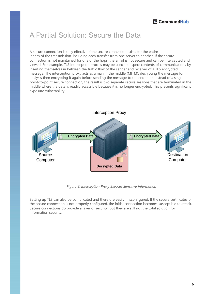# A Partial Solution: Secure the Data

A secure connection is only effective if the secure connection exists for the entire length of the transmission, including each transfer from one server to another. If the secure connection is not maintained for one of the hops, the email is not secure and can be intercepted and viewed. For example, TLS interception proxies may be used to inspect contents of communications by inserting themselves in between the traffic flow of the sender and receiver of a TLS encrypted message. The interception proxy acts as a man in the middle (MITM), decrypting the message for analysis then encrypting it again before sending the message to the endpoint. Instead of a single point-to-point secure connection, the result is two separate secure sessions that are terminated in the middle where the data is readily accessible because it is no longer encrypted. This presents significant exposure vulnerability.



Figure 2: Interception Proxy Exposes Sensitive Information

Setting up TLS can also be complicated and therefore easily misconfigured. If the secure certificates or the secure connection is not properly configured, the initial connection becomes susceptible to attack. Secure connections do provide a layer of security, but they are still not the total solution for information security.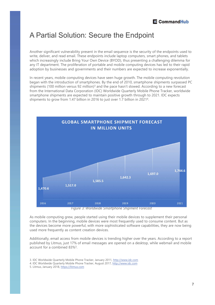# A Partial Solution: Secure the Endpoint

Another significant vulnerability present in the email sequence is the security of the endpoints used to write, deliver, and read email. These endpoints include laptop computers, smart phones, and tablets which increasingly include Bring Your Own Device (BYOD), thus presenting a challenging dilemma for any IT department. The proliferation of portable and mobile computing devices has led to their rapid adoption by businesses and governments and their numbers are expected to increase exponentially.

In recent years, mobile computing devices have seen huge growth. The mobile computing revolution began with the introduction of smartphones. By the end of 2010, smartphone shipments surpassed PC shipments (100 million versus 92 million)<sup>3</sup> and the pace hasn't slowed. According to a new forecast from the International Data Corporation (IDC) Worldwide Quarterly Mobile Phone Tracker, worldwide smartphone shipments are expected to maintain positive growth through to 2021. IDC expects shipments to grow from 1.47 billion in 2016 to just over 1.7 billion in 20214 .



Figure 3: Worldwide Smartphone Shipment Forecast

As mobile computing grew, people started using their mobile devices to supplement their personal computers. In the beginning, mobile devices were most frequently used to consume content. But as the devices become more powerful, with more sophisticated software capabilities, they are now being used more frequently as content creation devices.

Additionally, email access from mobile devices is trending higher over the years. According to a report published by Litmus, just 17% of email messages are opened on a desktop, while webmail and mobile account for a combined 83%5 .

- 3. IDC Worldwide Quarterly Mobile Phone Tracker, January 2011, http://www.idc.com
- 4. IDC Worldwide Quarterly Mobile Phone Tracker, August 2017, http://www.idc.com
- 5. Litmus, January 2018, https://litmus.com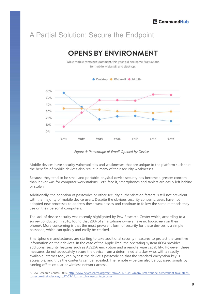# A Partial Solution: Secure the Endpoint



Figure 4: Percentage of Email Opened by Device

Mobile devices have security vulnerabilities and weaknesses that are unique to the platform such that the benefits of mobile devices also result in many of their security weaknesses.

Because they tend to be small and portable, physical device security has become a greater concern than it ever was for computer workstations. Let's face it, smartphones and tablets are easily left behind or stolen.

Additionally, the adoption of passcodes or other security authentication factors is still not prevalent with the majority of mobile device users. Despite the obvious security concerns, users have not adopted new processes to address these weaknesses and continue to follow the same methods they use on their personal computers.

The lack of device security was recently highlighted by Pew Research Center which, according to a phone<sup>6</sup>. More concerning is that the most prevalent form of security for these devices is a simple passcode, which can quickly and easily be cracked.

Smartphone manufacturers are starting to take additional security measures to protect the sensitive information on their devices. In the case of the Apple iPad, the operating system (iOS) provides additional security features such as AES256 encryption and a remote wipe capability. However, these measures do not adequately secure the device from a determined attacker who, with a readily available Internet tool, can bypass the device's passcode so that the standard encryption key is accessible, and thus the contents can be revealed. The remote wipe can also be bypassed simply by turning off its cellular or wireless network access.

6. Pew Research Center, 2016, http://www.pewresearch.org/fact-tank/2017/03/15/many-smartphone-ownersdont-take-stepsto-secure-their-devices/ft\_17-03-14\_smartphonesecurity\_access/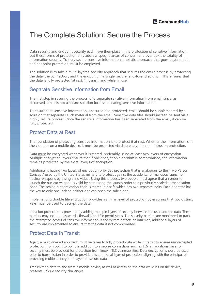## The Complete Solution: Secure the Process

Data security and endpoint security each have their place in the protection of sensitive information, but these forms of protection only address specific areas of concern and overlook the totality of information security. To truly secure sensitive information a holistic approach, that goes beyond data and endpoint protection, must be employed.

The solution is to take a multi-layered security approach that secures the entire process by protecting the data, the connection, and the endpoint in a single, secure, end-to-end solution. This ensures that the data is fully protected 'at rest, 'in transit, and while 'in use'.

### Separate Sensitive Information from Email

The first step in securing the process is to separate sensitive information from email since, as discussed, email is not a secure solution for disseminating sensitive information.

To ensure that sensitive information is secured and protected, email should be supplemented by a solution that separates such material from the email. Sensitive data files should instead be sent via a highly secure process. Once the sensitive information has been separated from the email, it can be fully protected. information security. To truly secure sensitive information a holistic approach, that goes beyond data<br>independent security. To truly secure sensitive approach that secures the entire process by protecting<br>the data, the co

### Protect Data at Rest

The foundation of protecting sensitive information is to protect it at rest. Whether the information is in the cloud or on a mobile device, it must be protected via data encryption and intrusion protection.

Multiple encryption layers ensure that if one encryption algorithm is compromised, the information remains protected by the extra layer/s of encryption.

Additionally, having two layers of encryption provides protection that is analogous to the "Two Person Concept" used by the United States military to protect against the accidental or malicious launch of nuclear weapons by a single individual. Using this process, two people must agree that an order to launch the nuclear weapon is valid by comparing the launch order to a previously sealed authentication code. The sealed authentication code is stored in a safe which has two separate locks. Each operator has the key to only one lock so neither one can open the safe alone.

Implementing double file encryption provides a similar level of protection by ensuring that two distinct keys must be used to decrypt the data.

Intrusion protection is provided by adding multiple layers of security between the user and the data. These barriers may include passwords, firewalls, and file permissions. The security barriers are monitored to track the attempted access of sensitive information. If the system detects an intrusion, additional layers of security are implemented to ensure that the data is not compromised.

### Protect Data in Transit

Again, a multi-layered approach must be taken to fully protect data while in transit to ensure uninterrupted protection from point to point. In addition to a secure connection, such as TLS, an additional layer of security must be provided for protection from known TLS vulnerabilities. Data encryption should be used prior to transmission in order to provide this additional layer of protection, aligning with the principal of providing multiple encryption layers to secure data.

Transmitting data to and from a mobile device, as well as accessing the data while it's on the device, presents unique security challenges.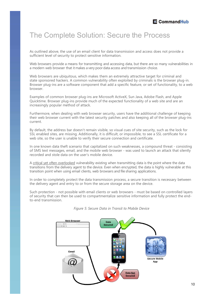# The Complete Solution: Secure the Process

As outlined above, the use of an email client for data transmission and access does not provide a sufficient level of security to protect sensitive information.

Web browsers provide a means for transmitting and accessing data, but there are so many vulnerabilities in

**E CommandHub**<br>
The Complete Solution: Secure the Process<br>
As outlined above, the use of an email client for data transmission and access does not provide a<br>
sufficient level of security to protect sensitive information.<br> Web browsers are ubiquitous, which makes them an extremely attractive target for criminal and state sponsored hackers. A common vulnerability often exploited by criminals is the browser plug-in. Browser plug-ins are a software component that add a specific feature, or set of functionality, to a web browser. As counted above, the base or a methal nent that data dramations and access does not provide a<br>sufficient level of security to protect sensitive information.<br>Web browsers provide a means for transmitting and accessing data sumcent level of sectring to protect sensitive information.<br>The amodem web browser that it makes a verty poor data accessing data, but there are so many vulnerabilities in<br>a modem web browser that it makes a verty poor dat a modern web bowser trad it finalses a very poor uara access and uaranmson tronce.<br>Web browsers are ubiquitous, which makes frem an extremely attractive target for criminal and<br>state sponsored hackers. A common vulnerabili We Divewsis are tonjunous, winch masks trelin all exercitingly autaxitive larget in to thimlination<br>state sponsored hackets. A common vulnerability often explored by criminals is the browser plug-in.<br>Browser, plug-ins are

Examples of common browser plug-ins are Microsoft ActiveX, Sun Java, Adobe Flash, and Apple Quicktime. Browser plug-ins provide much of the expected functionality of a web site and are an increasingly popular method of attack.

Furthermore, when dealing with web browser security, users have the additional challenge of keeping their web browser current with the latest security patches and also keeping all of the browser plug-ins current.

By default, the address bar doesn't remain visible, so visual cues of site security, such as the lock for SSL enabled sites, are missing. Additionally, it is difficult, or impossible, to see a SSL certificate for a web site, so the user is unable to verify their secure connection and certificate.

recorded and stole data on the user's mobile device.

transitions from the delivery agent to the device. Even when encrypted, the data is highly vulnerable at this

In order to completely protect the data transmission process, a secure transition is necessary between the delivery agent and entry to or from the secure storage area on the device.

Examples or Comminio Invower puga-Ins are withous natures, surizes, surizes and the expected functionality of a web site and are an increasingly popular method of attack.<br>
Euclidentical proposition of attack.<br>
Turbermore, of security that can then be used to compartmentalize sensitive information and fully protect the endto-end transmission.



### Figure 5: Secure Data in Transit to Mobile Device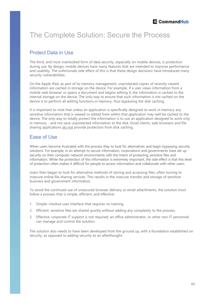# The Complete Solution: Secure the Process

### Protect Data in Use

The third, and most overlooked form of data security, especially on mobile devices, is protection during use. By design, mobile devices have many features that are intended to improve performance and usability. The unfortunate side effect of this is that these design decisions have introduced many security vulnerabilities.

On the Apple iPad, as part of its memory management, unprotected copies of recently viewed information are cached in storage on the device. For example, if a user views information from a mobile web browser or opens a document and begins editing it, the information is cached to the internal storage on the device. The only way to ensure that such information is not cached on the device is to perform all editing functions in memory, thus bypassing the disk caching.

It is important to note that unless an application is specifically designed to work in memory any sensitive information that is viewed or edited from within that application may well be cached to the device. The only way to totally protect the information is to use an application designed to work only The Complete Solution: Secure the Process<br>
Protect Data in Use<br>
The third, and most overlooked form of data security, especially on mobile devices, is protection<br>
The third, and most overlooked form of data security, espec The Complete Solution: Secure the Process<br>
Protect Data in Use<br>
The third, and most overlooked form of data security, especially on mobile devices, is protection<br>
The third, and most overlooked form of data security, espec

### Ease of Use

When users become frustrated with the process they to look for alternatives and begin bypassing security solutions. For example, in an attempt to secure information, corporations and governments have set up security on their computer network environments with the intent of protecting sensitive files and information. While the protection of this information is extremely important, the side effect is that this level of protection often makes it difficult for people to access information and collaborate with other users. It is important to note that unleas an application is specifically designed to worstensitive information that is viewed or edited from within that application may device. The only way to totally protect the information is device. The only way to totally protect the information is to use an application designed to work only in memory - and not save unprotected information to the disk. Email clients, web browsers and file in memory - and not in memory - and not save unperbeted infromation to the disk. Email clients, web browsers and the<br>in memory - and not save unpervolve protection from disk caching.<br>
Ease of Use<br>
When users become frustrated with the process

Users then began to look for alternative methods of storing and accessing files, often turning to insecure online file sharing services. This results in the insecure transfer and storage of sensitive business and government information.

To avoid the continued use of unsecured browser delivery or email attachments, the solution must follow a process that is simple, efficient, and effective:

- 
- 
- can manage and control the solution.

The solution also needs to have been developed from the ground up, with a foundation established on security, as opposed to adding security as an afterthought.